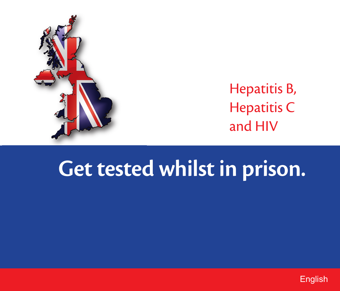

#### Hepatitis B, Hepatitis C and HIV

# **Get tested whilst in prison.**

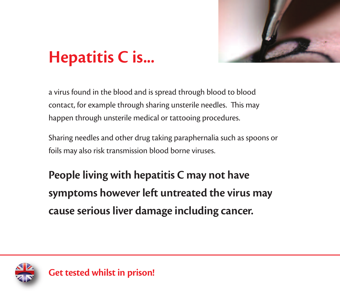

## **Hepatitis C is...**

a virus found in the blood and is spread through blood to blood contact, for example through sharing unsterile needles. This may happen through unsterile medical or tattooing procedures.

Sharing needles and other drug taking paraphernalia such as spoons or foils may also risk transmission blood borne viruses.

**People living with hepatitis C may not have symptoms however left untreated the virus may cause serious liver damage including cancer.**

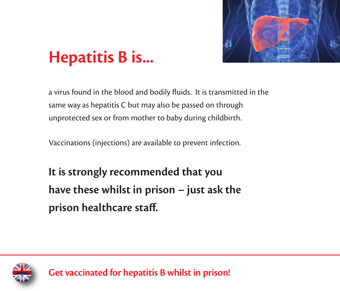

## **Hepatitis B is...**

a virus found in the blood and bodily fluids. It is transmitted in the same way as hepatitis C but may also be passed on through unprotected sex or from mother to baby during childbirth.

Vaccinations (injections) are available to prevent infection.

**It is strongly recommended that you have these whilst in prison – just ask the prison healthcare staff.**



**Get vaccinated for hepatitis B whilst in prison!**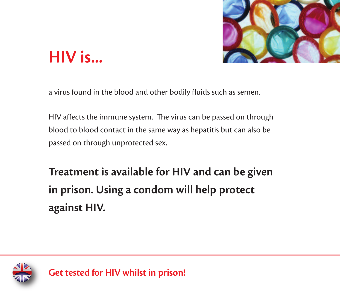

#### **HIV is...**

a virus found in the blood and other bodily fluids such as semen.

HIV affects the immune system. The virus can be passed on through blood to blood contact in the same way as hepatitis but can also be passed on through unprotected sex.

**Treatment is available for HIV and can be given in prison. Using a condom will help protect against HIV.**

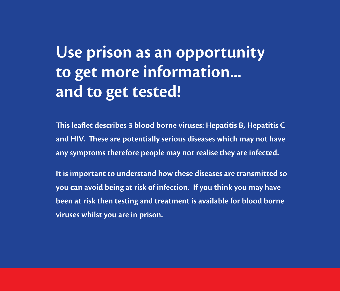#### **Use prison as an opportunity to get more information... and to get tested!**

**is leaflet describes 3 blood borne viruses: Hepatitis B, Hepatitis C and HIV. ese are potentially serious diseases which may not have any symptoms therefore people may not realise they are infected.**

**It is important to understand how these diseases are transmitted so you can avoid being at risk of infection. If you think you may have been at risk then testing and treatment is available for blood borne viruses whilst you are in prison.**